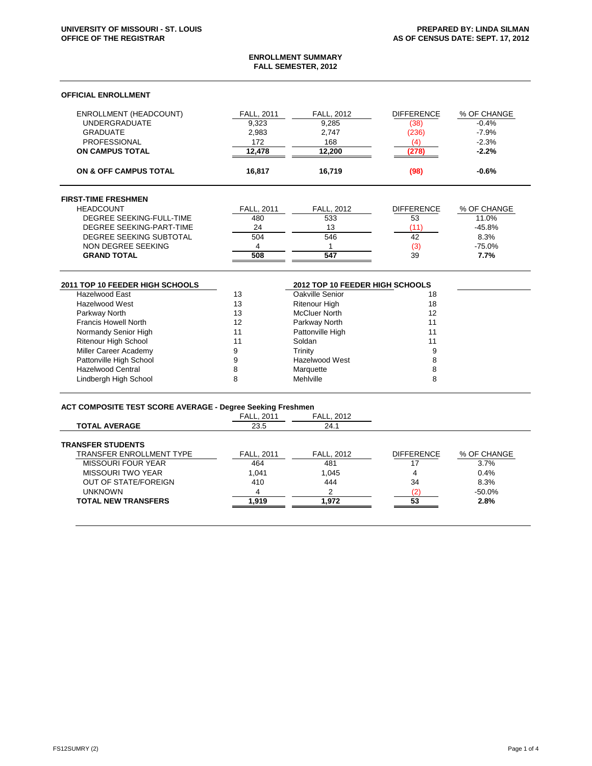### **ENROLLMENT SUMMARY FALL SEMESTER, 2012**

| ON & OFF CAMPUS TOTAL         | 16.817            | 16.719            | (98)              | $-0.6%$     |
|-------------------------------|-------------------|-------------------|-------------------|-------------|
| <b>ON CAMPUS TOTAL</b>        | 12.478            | 12,200            | '278.             | $-2.2%$     |
| <b>PROFESSIONAL</b>           | 172               | 168               | (4                | $-2.3%$     |
| <b>GRADUATE</b>               | 2.983             | 2.747             | (236)             | $-7.9%$     |
| <b>UNDERGRADUATE</b>          | 9,323             | 9,285             | (38)              | $-0.4%$     |
| <b>ENROLLMENT (HEADCOUNT)</b> | <b>FALL, 2011</b> | <b>FALL, 2012</b> | <b>DIFFERENCE</b> | % OF CHANGE |

|  |  | <b>FIRST-TIME FRESHMEN</b> |
|--|--|----------------------------|
|  |  |                            |

| <b>GRAND TOTAL</b>       | 508               | 547               | 39                | 7.7%        |
|--------------------------|-------------------|-------------------|-------------------|-------------|
| NON DEGREE SEEKING       |                   |                   |                   | $-75.0%$    |
| DEGREE SEEKING SUBTOTAL  | 504               | 546               | 42                | 8.3%        |
| DEGREE SEEKING-PART-TIME | 24                |                   |                   | $-45.8%$    |
| DEGREE SEEKING-FULL-TIME | 480               | 533               | 53                | 11.0%       |
| <b>HEADCOUNT</b>         | <b>FALL, 2011</b> | <b>FALL, 2012</b> | <b>DIFFERENCE</b> | % OF CHANGE |

| 2011 TOP 10 FEEDER HIGH SCHOOLS |    |                      | 2012 TOP 10 FEEDER HIGH SCHOOLS |  |
|---------------------------------|----|----------------------|---------------------------------|--|
| Hazelwood East                  | 13 | Oakville Senior      | 18                              |  |
| Hazelwood West                  | 13 | <b>Ritenour High</b> | 18                              |  |
| Parkway North                   | 13 | <b>McCluer North</b> | 12                              |  |
| <b>Francis Howell North</b>     | 12 | Parkway North        |                                 |  |
| Normandy Senior High            |    | Pattonville High     |                                 |  |
| <b>Ritenour High School</b>     | 11 | Soldan               |                                 |  |
| Miller Career Academy           |    | Trinity              |                                 |  |
| Pattonville High School         |    | Hazelwood West       |                                 |  |
| <b>Hazelwood Central</b>        |    | Marquette            |                                 |  |
| Lindbergh High School           |    | Mehlville            |                                 |  |

# **ACT COMPOSITE TEST SCORE AVERAGE - Degree Seeking Freshmen**

|                                 | <b>FALL, 2011</b> | <b>FALL, 2012</b> |                   |             |
|---------------------------------|-------------------|-------------------|-------------------|-------------|
| <b>TOTAL AVERAGE</b>            | 23.5              | 24.1              |                   |             |
| <b>TRANSFER STUDENTS</b>        |                   |                   |                   |             |
| <b>TRANSFER ENROLLMENT TYPE</b> | <b>FALL. 2011</b> | <b>FALL, 2012</b> | <b>DIFFERENCE</b> | % OF CHANGE |
| MISSOURI FOUR YEAR              | 464               | 481               | 17                | 3.7%        |
| <b>MISSOURI TWO YEAR</b>        | 1.041             | 1.045             |                   | 0.4%        |
| <b>OUT OF STATE/FOREIGN</b>     | 410               | 444               | 34                | 8.3%        |
| <b>UNKNOWN</b>                  | 4                 | ົ                 |                   | $-50.0%$    |
| <b>TOTAL NEW TRANSFERS</b>      | .919              | 1.972             | 53                | 2.8%        |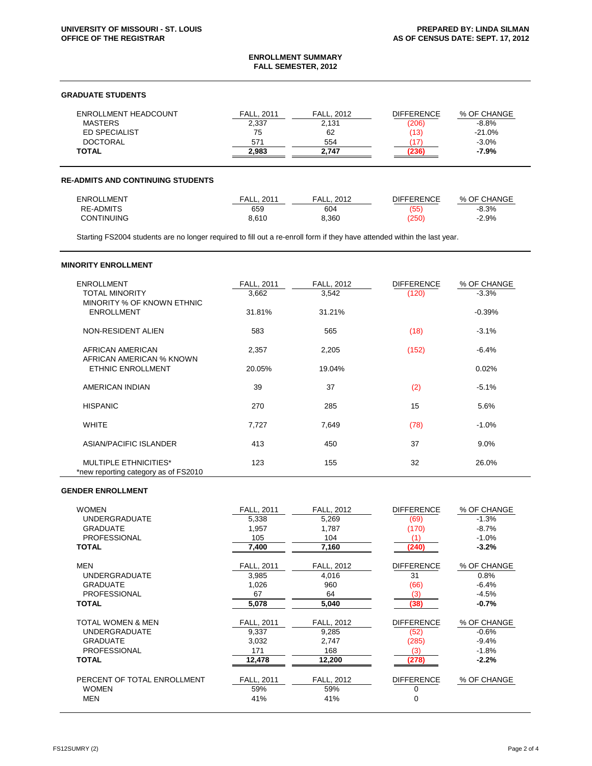#### **ENROLLMENT SUMMARY FALL SEMESTER, 2012**

## **GRADUATE STUDENTS**

| ENROLLMENT HEADCOUNT | <b>FALL, 2011</b> | <b>FALL. 2012</b> | <b>DIFFERENCE</b> | % OF CHANGE |
|----------------------|-------------------|-------------------|-------------------|-------------|
| <b>MASTERS</b>       | 2,337             | 2,131             | (206)             | $-8.8\%$    |
| ED SPECIALIST        | 75                | 62                | (13)              | $-21.0%$    |
| <b>DOCTORAL</b>      | 571               | 554               |                   | $-3.0\%$    |
| <b>TOTAL</b>         | 2.983             | 2.747             | 236               | $-7.9%$     |

#### **RE-ADMITS AND CONTINUING STUDENTS**

| <b>ENROLLMENT</b> | FALL.<br>201 | 2012<br>FALL. | <b>DIFFERENCE</b> | % OF CHANGE |
|-------------------|--------------|---------------|-------------------|-------------|
| <b>RE-ADMITS</b>  | 659          | 604           | (55)              | $-8.3%$     |
| <b>CONTINUING</b> | 8.610        | 3.360         | $^{\prime}250$    | $-2.9%$     |

Starting FS2004 students are no longer required to fill out a re-enroll form if they have attended within the last year.

## **MINORITY ENROLLMENT**

| <b>ENROLLMENT</b><br><b>TOTAL MINORITY</b>                           | FALL, 2011<br>3,662 | <b>FALL, 2012</b><br>3,542 | <b>DIFFERENCE</b><br>(120) | % OF CHANGE<br>$-3.3%$ |
|----------------------------------------------------------------------|---------------------|----------------------------|----------------------------|------------------------|
| MINORITY % OF KNOWN ETHNIC<br><b>ENROLLMENT</b>                      | 31.81%              | 31.21%                     |                            | $-0.39%$               |
| NON-RESIDENT ALIEN                                                   | 583                 | 565                        | (18)                       | $-3.1%$                |
| AFRICAN AMERICAN                                                     | 2,357               | 2,205                      | (152)                      | $-6.4%$                |
| AFRICAN AMERICAN % KNOWN<br><b>ETHNIC ENROLLMENT</b>                 | 20.05%              | 19.04%                     |                            | 0.02%                  |
| AMERICAN INDIAN                                                      | 39                  | 37                         | (2)                        | $-5.1%$                |
| <b>HISPANIC</b>                                                      | 270                 | 285                        | 15                         | 5.6%                   |
| <b>WHITE</b>                                                         | 7,727               | 7,649                      | (78)                       | $-1.0%$                |
| ASIAN/PACIFIC ISLANDER                                               | 413                 | 450                        | 37                         | 9.0%                   |
| <b>MULTIPLE ETHNICITIES*</b><br>*new reporting category as of FS2010 | 123                 | 155                        | 32                         | 26.0%                  |

# **GENDER ENROLLMENT**

| <b>WOMEN</b>                | <b>FALL, 2011</b> | <b>FALL, 2012</b> | <b>DIFFERENCE</b> | % OF CHANGE |
|-----------------------------|-------------------|-------------------|-------------------|-------------|
| <b>UNDERGRADUATE</b>        | 5,338             | 5,269             | (69)              | $-1.3%$     |
| <b>GRADUATE</b>             | 1,957             | 1,787             | (170)             | $-8.7%$     |
| <b>PROFESSIONAL</b>         | 105               | 104               | (1)               | $-1.0%$     |
| <b>TOTAL</b>                | 7,400             | 7,160             | (240)             | $-3.2%$     |
|                             |                   |                   |                   |             |
| <b>MEN</b>                  | <b>FALL, 2011</b> | <b>FALL, 2012</b> | <b>DIFFERENCE</b> | % OF CHANGE |
| <b>UNDERGRADUATE</b>        | 3,985             | 4,016             | 31                | 0.8%        |
| <b>GRADUATE</b>             | 1,026             | 960               | (66)              | $-6.4%$     |
| <b>PROFESSIONAL</b>         | 67                | 64                | (3)               | $-4.5%$     |
| <b>TOTAL</b>                | 5,078             | 5,040             | (38)              | $-0.7%$     |
|                             |                   |                   |                   |             |
| TOTAL WOMEN & MEN           | <b>FALL, 2011</b> | <b>FALL, 2012</b> | <b>DIFFERENCE</b> | % OF CHANGE |
| <b>UNDERGRADUATE</b>        | 9,337             | 9,285             | (52)              | $-0.6%$     |
| <b>GRADUATE</b>             | 3,032             | 2,747             | (285)             | $-9.4%$     |
| <b>PROFESSIONAL</b>         | 171               | 168               | (3)               | $-1.8%$     |
| <b>TOTAL</b>                | 12,478            | 12,200            | (278)             | $-2.2%$     |
|                             |                   |                   |                   |             |
| PERCENT OF TOTAL ENROLLMENT | <b>FALL, 2011</b> | <b>FALL, 2012</b> | <b>DIFFERENCE</b> | % OF CHANGE |
| <b>WOMEN</b>                | 59%               | 59%               | 0                 |             |
| <b>MEN</b>                  | 41%               | 41%               | $\Omega$          |             |
|                             |                   |                   |                   |             |